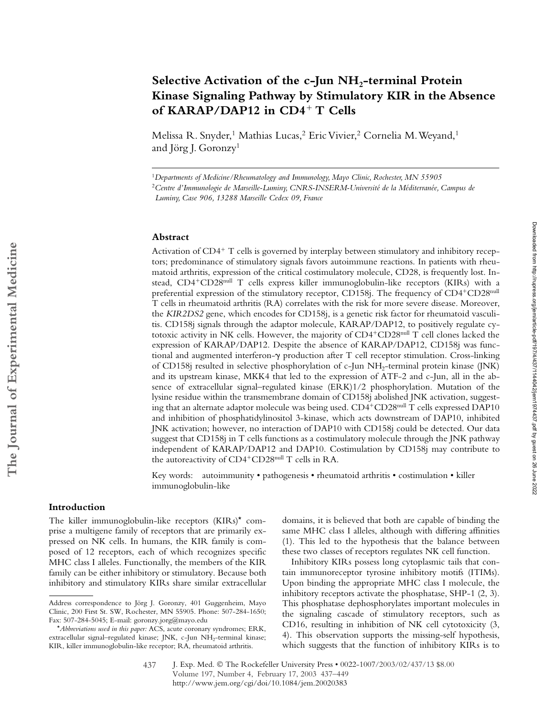# Selective Activation of the c-Jun NH<sub>2</sub>-terminal Protein **Kinase Signaling Pathway by Stimulatory KIR in the Absence**  of KARAP/DAP12 in CD4<sup>+</sup> T Cells

Melissa R. Snyder,<sup>1</sup> Mathias Lucas,<sup>2</sup> Eric Vivier,<sup>2</sup> Cornelia M. Weyand,<sup>1</sup> and Jörg J. Goronzy1

#### **Abstract**

Activation of CD4<sup>+</sup> T cells is governed by interplay between stimulatory and inhibitory receptors; predominance of stimulatory signals favors autoimmune reactions. In patients with rheumatoid arthritis, expression of the critical costimulatory molecule, CD28, is frequently lost. Instead, CD4<sup>+</sup>CD28<sup>null</sup> T cells express killer immunoglobulin-like receptors (KIRs) with a preferential expression of the stimulatory receptor, CD158j. The frequency of CD4<sup>+</sup>CD28<sup>null</sup> T cells in rheumatoid arthritis (RA) correlates with the risk for more severe disease. Moreover, the *KIR2DS2* gene, which encodes for CD158j, is a genetic risk factor for rheumatoid vasculitis. CD158j signals through the adaptor molecule, KARAP/DAP12, to positively regulate cytotoxic activity in NK cells. However, the majority of CD4<sup>+</sup>CD28<sup>null</sup> T cell clones lacked the expression of KARAP/DAP12. Despite the absence of KARAP/DAP12, CD158j was functional and augmented interferon- $\gamma$  production after T cell receptor stimulation. Cross-linking of CD158j resulted in selective phosphorylation of c-Jun NH2-terminal protein kinase (JNK) and its upstream kinase, MKK4 that led to the expression of ATF-2 and c-Jun, all in the absence of extracellular signal–regulated kinase (ERK)1/2 phosphorylation. Mutation of the lysine residue within the transmembrane domain of CD158j abolished JNK activation, suggesting that an alternate adaptor molecule was being used.  $CD4+CD28^{\text{null}}$  T cells expressed  $D\text{AP10}$ and inhibition of phosphatidylinositol 3-kinase, which acts downstream of DAP10, inhibited JNK activation; however, no interaction of DAP10 with CD158j could be detected. Our data suggest that CD158j in T cells functions as a costimulatory molecule through the JNK pathway independent of KARAP/DAP12 and DAP10. Costimulation by CD158j may contribute to the autoreactivity of CD4<sup>+</sup>CD28<sup>null</sup> T cells in RA.

Key words: autoimmunity • pathogenesis • rheumatoid arthritis • costimulation • killer immunoglobulin-like

# **Introduction**

The killer immunoglobulin-like receptors (KIRs)\* comprise a multigene family of receptors that are primarily expressed on NK cells. In humans, the KIR family is composed of 12 receptors, each of which recognizes specific MHC class I alleles. Functionally, the members of the KIR family can be either inhibitory or stimulatory. Because both inhibitory and stimulatory KIRs share similar extracellular domains, it is believed that both are capable of binding the same MHC class I alleles, although with differing affinities (1). This led to the hypothesis that the balance between these two classes of receptors regulates NK cell function.

Inhibitory KIRs possess long cytoplasmic tails that contain immunoreceptor tyrosine inhibitory motifs (ITIMs). Upon binding the appropriate MHC class I molecule, the inhibitory receptors activate the phosphatase, SHP-1 (2, 3). This phosphatase dephosphorylates important molecules in the signaling cascade of stimulatory receptors, such as CD16, resulting in inhibition of NK cell cytotoxicity (3, 4). This observation supports the missing-self hypothesis, which suggests that the function of inhibitory KIRs is to

<sup>1</sup>*Departments of Medicine/Rheumatology and Immunology, Mayo Clinic, Rochester, MN 55905* <sup>2</sup>*Centre d'Immunologie de Marseille-Luminy, CNRS-INSERM-Université de la Méditerranée, Campus de Luminy, Case 906, 13288 Marseille Cedex 09, France*

Address correspondence to Jörg J. Goronzy, 401 Guggenheim, Mayo Clinic, 200 First St. SW, Rochester, MN 55905. Phone: 507-284-1650; Fax: 507-284-5045; E-mail: goronzy.jorg@mayo.edu

<sup>\*</sup>*Abbreviations used in this paper:* ACS, acute coronary syndromes; ERK, extracellular signal-regulated kinase; JNK, c-Jun NH<sub>2</sub>-terminal kinase; KIR, killer immunoglobulin-like receptor; RA, rheumatoid arthritis.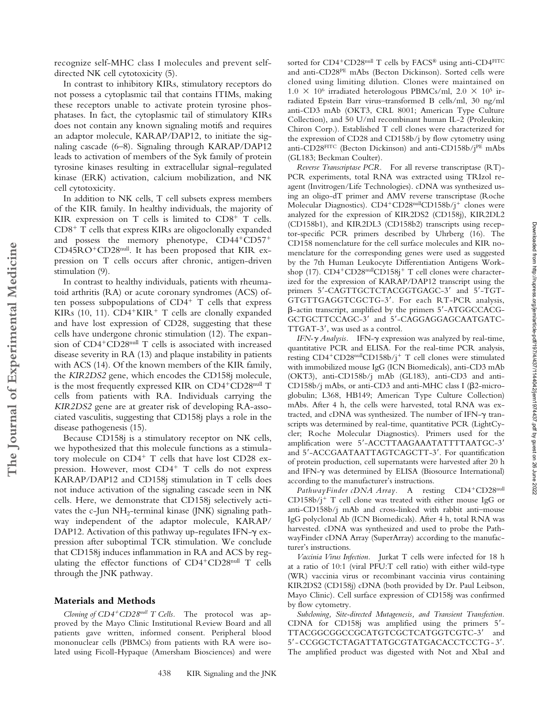recognize self-MHC class I molecules and prevent selfdirected NK cell cytotoxicity (5).

In contrast to inhibitory KIRs, stimulatory receptors do not possess a cytoplasmic tail that contains ITIMs, making these receptors unable to activate protein tyrosine phosphatases. In fact, the cytoplasmic tail of stimulatory KIRs does not contain any known signaling motifs and requires an adaptor molecule, KARAP/DAP12, to initiate the signaling cascade (6–8). Signaling through KARAP/DAP12 leads to activation of members of the Syk family of protein tyrosine kinases resulting in extracellular signal–regulated kinase (ERK) activation, calcium mobilization, and NK cell cytotoxicity.

In addition to NK cells, T cell subsets express members of the KIR family. In healthy individuals, the majority of KIR expression on T cells is limited to CD8<sup>+</sup> T cells. CD8- T cells that express KIRs are oligoclonally expanded and possess the memory phenotype, CD44<sup>+</sup>CD57<sup>+</sup> CD45RO<sup>+</sup>CD28<sup>null</sup>. It has been proposed that KIR expression on T cells occurs after chronic, antigen-driven stimulation (9).

In contrast to healthy individuals, patients with rheumatoid arthritis (RA) or acute coronary syndromes (ACS) often possess subpopulations of CD4<sup>+</sup> T cells that express KIRs (10, 11). CD4<sup>+</sup>KIR<sup>+</sup> T cells are clonally expanded and have lost expression of CD28, suggesting that these cells have undergone chronic stimulation (12). The expansion of CD4-CD28null T cells is associated with increased disease severity in RA (13) and plaque instability in patients with ACS (14). Of the known members of the KIR family, the *KIR2DS2* gene, which encodes the CD158j molecule, is the most frequently expressed KIR on CD4+CD28null T cells from patients with RA. Individuals carrying the *KIR2DS2* gene are at greater risk of developing RA-associated vasculitis, suggesting that CD158j plays a role in the disease pathogenesis (15).

Because CD158j is a stimulatory receptor on NK cells, we hypothesized that this molecule functions as a stimulatory molecule on CD4<sup>+</sup> T cells that have lost CD28 expression. However, most CD4<sup>+</sup> T cells do not express KARAP/DAP12 and CD158j stimulation in T cells does not induce activation of the signaling cascade seen in NK cells. Here, we demonstrate that CD158j selectively activates the c-Jun  $NH_2$ -terminal kinase (JNK) signaling pathway independent of the adaptor molecule, KARAP/ DAP12. Activation of this pathway up-regulates IFN- $\gamma$  expression after suboptimal TCR stimulation. We conclude that CD158j induces inflammation in RA and ACS by regulating the effector functions of CD4-CD28null T cells through the JNK pathway.

## **Materials and Methods**

**The Journal of Experimental Medicine**

The Journal of Experimental Medicine

Cloning of CD4<sup>+</sup>CD28<sup>null</sup> T Cells. The protocol was approved by the Mayo Clinic Institutional Review Board and all patients gave written, informed consent. Peripheral blood mononuclear cells (PBMCs) from patients with RA were isolated using Ficoll-Hypaque (Amersham Biosciences) and were

sorted for CD4-CD28null T cells by FACS® using anti-CD4FITC and anti-CD28PE mAbs (Becton Dickinson). Sorted cells were cloned using limiting dilution. Clones were maintained on  $1.0 \times 10^6$  irradiated heterologous PBMCs/ml,  $2.0 \times 10^5$  irradiated Epstein Barr virus–transformed B cells/ml, 30 ng/ml anti-CD3 mAb (OKT3, CRL 8001; American Type Culture Collection), and 50 U/ml recombinant human IL-2 (Proleukin; Chiron Corp.). Established T cell clones were characterized for the expression of CD28 and CD158b/j by flow cytometry using anti-CD28FITC (Becton Dickinson) and anti-CD158b/jPE mAbs (GL183; Beckman Coulter).

*Reverse Transcriptase PCR.* For all reverse transcriptase (RT)- PCR experiments, total RNA was extracted using TRIzol reagent (Invitrogen/Life Technologies). cDNA was synthesized using an oligo-dT primer and AMV reverse transcriptase (Roche Molecular Diagnostics). CD4<sup>+</sup>CD28<sup>null</sup>CD158b/j<sup>+</sup> clones were analyzed for the expression of KIR2DS2 (CD158j), KIR2DL2 (CD158b1), and KIR2DL3 (CD158b2) transcripts using receptor-specific PCR primers described by Uhrberg (16). The CD158 nomenclature for the cell surface molecules and KIR nomenclature for the corresponding genes were used as suggested by the 7th Human Leukocyte Differentiation Antigens Workshop (17). CD4<sup>+</sup>CD28<sup>null</sup>CD158j<sup>+</sup> T cell clones were characterized for the expression of KARAP/DAP12 transcript using the primers 5'-CAGTTGCTCTACGGTGAGC-3' and 5'-TGT-GTGTTGAGGTCGCTG-3. For each RT-PCR analysis, -actin transcript, amplified by the primers 5-ATGGCCACG-GCTGCTTCCAGC-3' and 5'-CAGGAGGAGCAATGATC-TTGAT-3, was used as a control.

*IFN-γ Analysis*. IFN-γ expression was analyzed by real-time, quantitative PCR and ELISA. For the real-time PCR analysis, resting CD4+CD28<sup>null</sup>CD158b/j<sup>+</sup> T cell clones were stimulated with immobilized mouse IgG (ICN Biomedicals), anti-CD3 mAb (OKT3), anti-CD158b/j mAb (GL183), anti-CD3 and anti-CD158b/j mAbs, or anti-CD3 and anti-MHC class I ( $\beta$ 2-microglobulin; L368, HB149; American Type Culture Collection) mAbs. After 4 h, the cells were harvested, total RNA was extracted, and cDNA was synthesized. The number of IFN- $\gamma$  transcripts was determined by real-time, quantitative PCR (LightCycler; Roche Molecular Diagnostics). Primers used for the amplification were 5'-ACCTTAAGAAATATTTTAATGC-3' and 5'-ACCGAATAATTAGTCAGCTT-3'. For quantification of protein production, cell supernatants were harvested after 20 h and IFN- $\gamma$  was determined by ELISA (Biosource International) according to the manufacturer's instructions.

PathwayFinder cDNA Array. A resting CD4+CD28null CD158b/j- T cell clone was treated with either mouse IgG or anti-CD158b/j mAb and cross-linked with rabbit anti–mouse IgG polyclonal Ab (ICN Biomedicals). After 4 h, total RNA was harvested. cDNA was synthesized and used to probe the PathwayFinder cDNA Array (SuperArray) according to the manufacturer's instructions.

*Vaccinia Virus Infection.* Jurkat T cells were infected for 18 h at a ratio of 10:1 (viral PFU:T cell ratio) with either wild-type (WR) vaccinia virus or recombinant vaccinia virus containing KIR2DS2 (CD158j) cDNA (both provided by Dr. Paul Leibson, Mayo Clinic). Cell surface expression of CD158j was confirmed by flow cytometry.

*Subcloning, Site-directed Mutagenesis, and Transient Transfection.* CDNA for CD158j was amplified using the primers 5- TTACGGCGGCCGCATGTCGCTCATGGTCGTC-3' and 5'-CCGGCTCTAGATTATGCGTATGACACCTCCTG-3'. The amplified product was digested with Not and XbaI and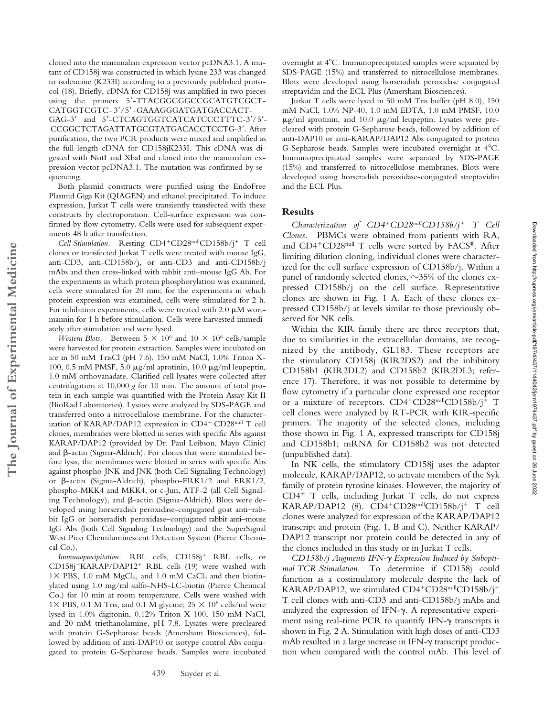cloned into the mammalian expression vector pcDNA3.1. A mutant of CD158j was constructed in which lysine 233 was changed to isoleucine (K233I) according to a previously published protocol (18). Briefly, cDNA for CD158j was amplified in two pieces using the primers 5'-TTACGGCGGCCGCATGTCGCT-CATGGTCGTC-3'/5'-GAAAGGGATGATGACCACT-

GAG-3' and 5'-CTCAGTGGTCATCATCCCTTTC-3'/5'-CCGGCTCTAGATTATGCGTATGACACCTCCTG-3. After purification, the two PCR products were mixed and amplified as the full-length cDNA for CD158jK233I. This cDNA was digested with NotI and XbaI and cloned into the mammalian expression vector pcDNA3.1. The mutation was confirmed by sequencing.

Both plasmid constructs were purified using the EndoFree Plasmid Giga Kit (QIAGEN) and ethanol precipitated. To induce expression, Jurkat T cells were transiently transfected with these constructs by electroporation. Cell-surface expression was confirmed by flow cytometry. Cells were used for subsequent experiments 48 h after transfection.

Cell Stimulation. Resting CD4<sup>+</sup>CD28<sup>null</sup>CD158b/j<sup>+</sup> T cell clones or transfected Jurkat T cells were treated with mouse IgG, anti-CD3, anti-CD158b/j, or anti-CD3 and anti-CD158b/j mAbs and then cross-linked with rabbit anti–mouse IgG Ab. For the experiments in which protein phosphorylation was examined, cells were stimulated for 20 min; for the experiments in which protein expression was examined, cells were stimulated for 2 h. For inhibition experiments, cells were treated with 2.0  $\mu$ M wortmannin for 1 h before stimulation. Cells were harvested immediately after stimulation and were lysed.

*Western Blots.* Between  $5 \times 10^6$  and  $10 \times 10^6$  cells/sample were harvested for protein extraction. Samples were incubated on ice in 50 mM TrisCl (pH 7.6), 150 mM NaCl, 1.0% Triton X-100, 0.5 mM PMSF, 5.0  $\mu$ g/ml aprotinin, 10.0  $\mu$ g/ml leupeptin, 1.0 mM orthovanadate. Clarified cell lysates were collected after centrifugation at 10,000 *g* for 10 min. The amount of total protein in each sample was quantified with the Protein Assay Kit II (BioRad Laboratories). Lysates were analyzed by SDS-PAGE and transferred onto a nitrocellulose membrane. For the characterization of KARAP/DAP12 expression in CD4<sup>+</sup> CD28<sup>null</sup> T cell clones, membranes were blotted in series with specific Abs against KARAP/DAP12 (provided by Dr. Paul Leibson, Mayo Clinic) and  $\beta$ -actin (Sigma-Aldrich). For clones that were stimulated before lysis, the membranes were blotted in series with specific Abs against phospho-JNK and JNK (both Cell Signaling Technology) or  $\beta$ -actin (Sigma-Aldrich), phospho-ERK1/2 and ERK1/2, phospho-MKK4 and MKK4, or c-Jun, ATF-2 (all Cell Signaling Technology), and  $\beta$ -actin (Sigma-Aldrich). Blots were developed using horseradish peroxidase-conjugated goat anti–rabbit IgG or horseradish peroxidase–conjugated rabbit anti–mouse IgG Abs (both Cell Signaling Technology) and the SuperSignal West Pico Chemiluminescent Detection System (Pierce Chemical Co.).

Immunoprecipitation. RBL cells, CD158j<sup>+</sup> RBL cells, or CD158j+KARAP/DAP12<sup>+</sup> RBL cells (19) were washed with  $1 \times$  PBS, 1.0 mM MgCl<sub>2</sub>, and 1.0 mM CaCl<sub>2</sub> and then biotinylated using 1.0 mg/ml sulfo-NHS-LC-biotin (Pierce Chemical Co.) for 10 min at room temperature. Cells were washed with 1  $\times$  PBS, 0.1 M Tris, and 0.1 M glycine; 25  $\times$  10<sup>6</sup> cells/ml were lysed in 1.0% digitonin, 0.12% Triton X-100, 150 mM NaCl, and 20 mM triethanolamine, pH 7.8. Lysates were precleared with protein G-Sepharose beads (Amersham Biosciences), followed by addition of anti-DAP10 or isotype control Abs conjugated to protein G-Sepharose beads. Samples were incubated

439 Snyder et al.

overnight at 4C. Immunoprecipitated samples were separated by SDS-PAGE (15%) and transferred to nitrocellulose membranes. Blots were developed using horseradish peroxidase–conjugated streptavidin and the ECL Plus (Amersham Biosciences).

Jurkat T cells were lysed in 50 mM Tris buffer (pH 8.0), 150 mM NaCl, 1.0% NP-40, 1.0 mM EDTA, 1.0 mM PMSF, 10.0  $\mu$ g/ml aprotinin, and 10.0  $\mu$ g/ml leupeptin. Lysates were precleared with protein G-Sepharose beads, followed by addition of anti-DAP10 or anti-KARAP/DAP12 Abs conjugated to protein G-Sepharose beads. Samples were incubated overnight at 4C. Immunoprecipitated samples were separated by SDS-PAGE (15%) and transferred to nitrocellulose membranes. Blots were developed using horseradish peroxidase-conjugated streptavidin and the ECL Plus.

#### **Results**

*Characterization of CD4*-*CD28nullCD158b/j*- *T Cell Clones.* PBMCs were obtained from patients with RA, and CD4<sup>+</sup>CD28<sup>null</sup> T cells were sorted by FACS®. After limiting dilution cloning, individual clones were characterized for the cell surface expression of CD158b/j. Within a panel of randomly selected clones,  $\sim$ 35% of the clones expressed CD158b/j on the cell surface. Representative clones are shown in Fig. 1 A. Each of these clones expressed CD158b/j at levels similar to those previously observed for NK cells.

Within the KIR family there are three receptors that, due to similarities in the extracellular domains, are recognized by the antibody, GL183. These receptors are the stimulatory CD158j (KIR2DS2) and the inhibitory CD158b1 (KIR2DL2) and CD158b2 (KIR2DL3; reference 17). Therefore, it was not possible to determine by flow cytometry if a particular clone expressed one receptor or a mixture of receptors. CD4<sup>+</sup>CD28<sup>null</sup>CD158b/j<sup>+</sup> T cell clones were analyzed by RT-PCR with KIR-specific primers. The majority of the selected clones, including those shown in Fig. 1 A, expressed transcripts for CD158j and CD158b1; mRNA for CD158b2 was not detected (unpublished data).

In NK cells, the stimulatory CD158j uses the adaptor molecule, KARAP/DAP12, to activate members of the Syk family of protein tyrosine kinases. However, the majority of CD4- T cells, including Jurkat T cells, do not express KARAP/DAP12 (8). CD4<sup>+</sup>CD28<sup>null</sup>CD158b/j<sup>+</sup> T cell clones were analyzed for expression of the KARAP/DAP12 transcript and protein (Fig. 1, B and C). Neither KARAP/ DAP12 transcript nor protein could be detected in any of the clones included in this study or in Jurkat T cells.

*CD158b/j Augments IFN- Expression Induced by Suboptimal TCR Stimulation.* To determine if CD158j could function as a costimulatory molecule despite the lack of KARAP/DAP12, we stimulated CD4<sup>+</sup>CD28<sup>null</sup>CD158b/j<sup>+</sup> T cell clones with anti-CD3 and anti-CD158b/j mAbs and analyzed the expression of IFN- $\gamma$ . A representative experiment using real-time PCR to quantify IFN- $\gamma$  transcripts is shown in Fig. 2 A. Stimulation with high doses of anti-CD3 mAb resulted in a large increase in IFN- $\gamma$  transcript production when compared with the control mAb. This level of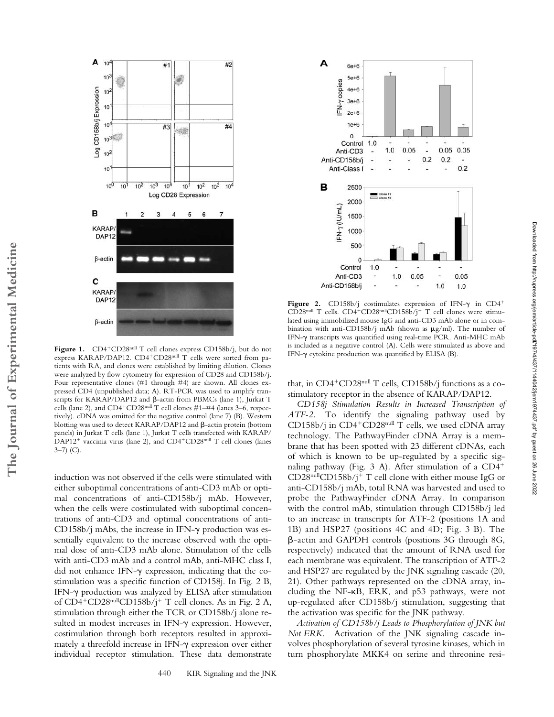

**Figure 1.** CD4<sup>+</sup>CD28<sup>null</sup> T cell clones express CD158b/j, but do not express KARAP/DAP12. CD4<sup>+</sup>CD28<sup>null</sup> T cells were sorted from patients with RA, and clones were established by limiting dilution. Clones were analyzed by flow cytometry for expression of CD28 and CD158b/j. Four representative clones (#1 through #4) are shown. All clones expressed CD4 (unpublished data; A). RT-PCR was used to amplify transcripts for KARAP/DAP12 and  $\beta$ -actin from PBMCs (lane 1), Jurkat T cells (lane 2), and CD4<sup>+</sup>CD28<sup>null</sup> T cell clones #1-#4 (lanes 3-6, respectively). cDNA was omitted for the negative control (lane 7) (B). Western blotting was used to detect  $KARAP/DAP12$  and  $\beta$ -actin protein (bottom panels) in Jurkat T cells (lane 1), Jurkat T cells transfected with KARAP/ DAP12<sup>+</sup> vaccinia virus (lane 2), and CD4<sup>+</sup>CD28<sup>null</sup> T cell clones (lanes  $3-7)$  (C).

**The Journal of Experimental Medicine**

The Journal of Experimental Medicine

induction was not observed if the cells were stimulated with either suboptimal concentrations of anti-CD3 mAb or optimal concentrations of anti-CD158b/j mAb. However, when the cells were costimulated with suboptimal concentrations of anti-CD3 and optimal concentrations of anti-CD158b/j mAbs, the increase in IFN- $\gamma$  production was essentially equivalent to the increase observed with the optimal dose of anti-CD3 mAb alone. Stimulation of the cells with anti-CD3 mAb and a control mAb, anti-MHC class I, did not enhance IFN- $\gamma$  expression, indicating that the costimulation was a specific function of CD158j. In Fig. 2 B, IFN-y production was analyzed by ELISA after stimulation of CD4<sup>+</sup>CD28<sup>null</sup>CD158b/j<sup>+</sup> T cell clones. As in Fig. 2 A, stimulation through either the TCR or CD158b/j alone resulted in modest increases in IFN- $\gamma$  expression. However, costimulation through both receptors resulted in approximately a threefold increase in IFN- $\gamma$  expression over either individual receptor stimulation. These data demonstrate



Figure 2.  $CD158b/j$  costimulates expression of IFN- $\gamma$  in  $CD4^+$ CD28<sup>null</sup> T cells. CD4<sup>+</sup>CD28<sup>null</sup>CD158b/j<sup>+</sup> T cell clones were stimulated using immobilized mouse IgG and anti-CD3 mAb alone or in combination with anti-CD158b/j mAb (shown as  $\mu$ g/ml). The number of IFN- $\gamma$  transcripts was quantified using real-time PCR. Anti-MHC mAb is included as a negative control (A). Cells were stimulated as above and IFN- $\gamma$  cytokine production was quantified by ELISA (B).

that, in CD4<sup>+</sup>CD28<sup>null</sup> T cells, CD158b/j functions as a costimulatory receptor in the absence of KARAP/DAP12.

*CD158j Stimulation Results in Increased Transcription of ATF-2.* To identify the signaling pathway used by CD158b/j in CD4<sup>+</sup>CD28<sup>null</sup> T cells, we used cDNA array technology. The PathwayFinder cDNA Array is a membrane that has been spotted with 23 different cDNAs, each of which is known to be up-regulated by a specific signaling pathway (Fig. 3 A). After stimulation of a CD4- CD28nullCD158b/j- T cell clone with either mouse IgG or anti-CD158b/j mAb, total RNA was harvested and used to probe the PathwayFinder cDNA Array. In comparison with the control mAb, stimulation through CD158b/j led to an increase in transcripts for ATF-2 (positions 1A and 1B) and HSP27 (positions 4C and 4D; Fig. 3 B). The  $\beta$ -actin and GAPDH controls (positions 3G through 8G, respectively) indicated that the amount of RNA used for each membrane was equivalent. The transcription of ATF-2 and HSP27 are regulated by the JNK signaling cascade (20, 21). Other pathways represented on the cDNA array, including the NF-KB, ERK, and p53 pathways, were not up-regulated after CD158b/j stimulation, suggesting that the activation was specific for the JNK pathway.

*Activation of CD158b/j Leads to Phosphorylation of JNK but Not ERK.* Activation of the JNK signaling cascade involves phosphorylation of several tyrosine kinases, which in turn phosphorylate MKK4 on serine and threonine resi-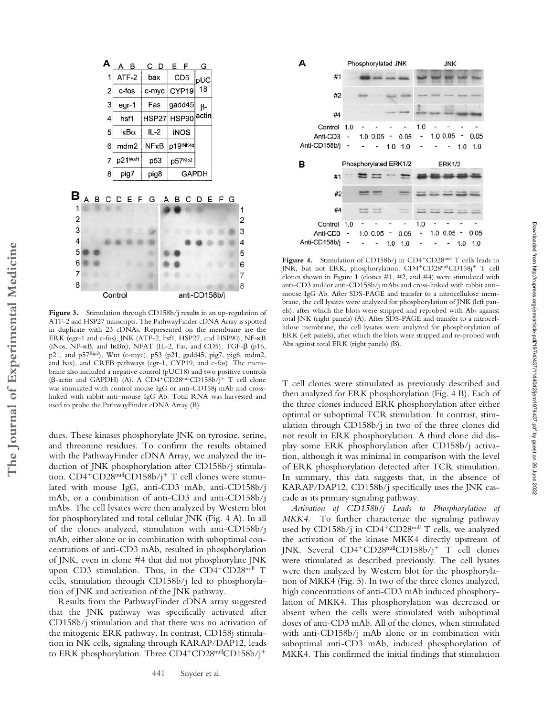

Figure 3. Stimulation through CD158b/j results in an up-regulation of ATF-2 and HSP27 transcripts. The PathwayFinder cDNA Array is spotted in duplicate with 23 cDNAs. Represented on the membrane are the ERK (egr-1 and c-fos), JNK (ATF-2, hsf1, HSP27, and HSP90), NF- $\kappa B$ (iNos, NF- $\kappa$ B, and I $\kappa$ B $\alpha$ ), NFAT (IL-2, Fas, and CD5), TGF- $\beta$  (p16, p21, and p57Kip2), Wnt (c-myc), p53 (p21, gadd45, pig7, pig8, mdm2, and bax), and CREB pathways (egr-1, CYP19, and c-fos). The membrane also included a negative control (pUC18) and two positive controls ( $\beta$ -actin and GAPDH) (A). A CD4<sup>+</sup>CD28<sup>null</sup>CD158b/j<sup>+</sup> T cell clone was stimulated with control mouse IgG or anti-CD158j mAb and crosslinked with rabbit anti–mouse IgG Ab. Total RNA was harvested and used to probe the PathwayFinder cDNA Array (B).

dues. These kinases phosphorylate JNK on tyrosine, serine, and threonine residues. To confirm the results obtained with the PathwayFinder cDNA Array, we analyzed the induction of JNK phosphorylation after CD158b/j stimulation. CD4<sup>+</sup>CD28<sup>null</sup>CD158b/j<sup>+</sup> T cell clones were stimulated with mouse IgG, anti-CD3 mAb, anti-CD158b/j mAb, or a combination of anti-CD3 and anti-CD158b/j mAbs. The cell lysates were then analyzed by Western blot for phosphorylated and total cellular JNK (Fig. 4 A). In all of the clones analyzed, stimulation with anti-CD158b/j mAb, either alone or in combination with suboptimal concentrations of anti-CD3 mAb, resulted in phosphorylation of JNK, even in clone #4 that did not phosphorylate JNK upon CD3 stimulation. Thus, in the CD4+CD28<sup>null</sup> T cells, stimulation through CD158b/j led to phosphorylation of JNK and activation of the JNK pathway.

Results from the PathwayFinder cDNA array suggested that the JNK pathway was specifically activated after CD158b/j stimulation and that there was no activation of the mitogenic ERK pathway. In contrast, CD158j stimulation in NK cells, signaling through KARAP/DAP12, leads to ERK phosphorylation. Three CD4<sup>+</sup>CD28<sup>null</sup>CD158b/j<sup>+</sup>



Figure 4. Stimulation of CD158b/j in CD4<sup>+</sup>CD28<sup>null</sup> T cells leads to JNK, but not ERK, phosphorylation. CD4<sup>+</sup>CD28<sup>null</sup>CD158j<sup>+</sup> T cell clones shown in Figure 1 (clones #1, #2, and #4) were stimulated with anti-CD3 and/or anti-CD158b/j mAbs and cross-linked with rabbit anti– mouse IgG Ab. After SDS-PAGE and transfer to a nitrocellulose membrane, the cell lysates were analyzed for phosphorylation of JNK (left panels), after which the blots were stripped and reprobed with Abs against total JNK (right panels) (A). After SDS-PAGE and transfer to a nitrocellulose membrane, the cell lysates were analyzed for phosphorylation of ERK (left panels), after which the blots were stripped and re-probed with Abs against total ERK (right panels) (B).

T cell clones were stimulated as previously described and then analyzed for ERK phosphorylation (Fig. 4 B). Each of the three clones induced ERK phosphorylation after either optimal or suboptimal TCR stimulation. In contrast, stimulation through CD158b/j in two of the three clones did not result in ERK phosphorylation. A third clone did display some ERK phosphorylation after CD158b/j activation, although it was minimal in comparison with the level of ERK phosphorylation detected after TCR stimulation. In summary, this data suggests that, in the absence of KARAP/DAP12, CD158b/j specifically uses the JNK cascade as its primary signaling pathway.

*Activation of CD158b/j Leads to Phosphorylation of MKK4.* To further characterize the signaling pathway used by CD158b/j in CD4<sup>+</sup>CD28<sup>null</sup> T cells, we analyzed the activation of the kinase MKK4 directly upstream of JNK. Several CD4-CD28nullCD158b/j- T cell clones were stimulated as described previously. The cell lysates were then analyzed by Western blot for the phosphorylation of MKK4 (Fig. 5). In two of the three clones analyzed, high concentrations of anti-CD3 mAb induced phosphorylation of MKK4. This phosphorylation was decreased or absent when the cells were stimulated with suboptimal doses of anti-CD3 mAb. All of the clones, when stimulated with anti-CD158b/j mAb alone or in combination with suboptimal anti-CD3 mAb, induced phosphorylation of MKK4. This confirmed the initial findings that stimulation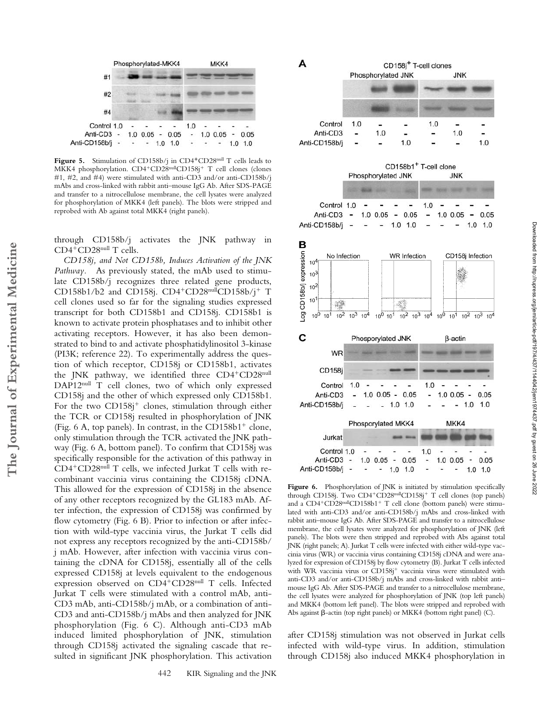

Figure 5. Stimulation of CD158b/j in CD4+CD28<sup>null</sup> T cells leads to MKK4 phosphorylation. CD4+CD28nullCD158j+ T cell clones (clones #1, #2, and #4) were stimulated with anti-CD3 and/or anti-CD158b/j mAbs and cross-linked with rabbit anti–mouse IgG Ab. After SDS-PAGE and transfer to a nitrocellulose membrane, the cell lysates were analyzed for phosphorylation of MKK4 (left panels). The blots were stripped and reprobed with Ab against total MKK4 (right panels).

through CD158b/j activates the JNK pathway in CD4+CD28<sup>null</sup> T cells.

*CD158j, and Not CD158b, Induces Activation of the JNK Pathway.* As previously stated, the mAb used to stimulate CD158b/j recognizes three related gene products, CD158b1/b2 and CD158j.  $CD4+CD28$ <sup>null</sup>CD158b/j<sup>+</sup> T cell clones used so far for the signaling studies expressed transcript for both CD158b1 and CD158j. CD158b1 is known to activate protein phosphatases and to inhibit other activating receptors. However, it has also been demonstrated to bind to and activate phosphatidylinositol 3-kinase (PI3K; reference 22). To experimentally address the question of which receptor, CD158j or CD158b1, activates the JNK pathway, we identified three CD4+CD28<sup>null</sup> DAP12<sup>null</sup> T cell clones, two of which only expressed CD158j and the other of which expressed only CD158b1. For the two CD158j<sup>+</sup> clones, stimulation through either the TCR or CD158j resulted in phosphorylation of JNK (Fig. 6 A, top panels). In contrast, in the CD158b1<sup>+</sup> clone, only stimulation through the TCR activated the JNK pathway (Fig. 6 A, bottom panel). To confirm that CD158j was specifically responsible for the activation of this pathway in CD4-CD28null T cells, we infected Jurkat T cells with recombinant vaccinia virus containing the CD158j cDNA. This allowed for the expression of CD158j in the absence of any other receptors recognized by the GL183 mAb. After infection, the expression of CD158j was confirmed by flow cytometry (Fig. 6 B). Prior to infection or after infection with wild-type vaccinia virus, the Jurkat T cells did not express any receptors recognized by the anti-CD158b/ j mAb. However, after infection with vaccinia virus containing the cDNA for CD158j, essentially all of the cells expressed CD158j at levels equivalent to the endogenous expression observed on CD4<sup>+</sup>CD28<sup>null</sup> T cells. Infected Jurkat T cells were stimulated with a control mAb, anti-CD3 mAb, anti-CD158b/j mAb, or a combination of anti-CD3 and anti-CD158b/j mAbs and then analyzed for JNK phosphorylation (Fig. 6 C). Although anti-CD3 mAb induced limited phosphorylation of JNK, stimulation through CD158j activated the signaling cascade that resulted in significant JNK phosphorylation. This activation

**The Journal of Experimental Medicine**

The Journal of Experimental Medicine



Downloaded from http://rupress.org/jem/article-pdf/197/4/437/1144042/jem1974437.pdf by guest on 26 June 2022 Downloaded from http://rupress.org/jem/article-pdf/197/4/437/1144042/jem1974437.pdf by guest on 26 June 2022

Figure 6. Phosphorylation of JNK is initiated by stimulation specifically through CD158j. Two CD4<sup>+</sup>CD28<sup>null</sup>CD158j<sup>+</sup> T cell clones (top panels) and a CD4<sup>+</sup>CD28<sup>null</sup>CD158b1<sup>+</sup> T cell clone (bottom panels) were stimulated with anti-CD3 and/or anti-CD158b/j mAbs and cross-linked with rabbit anti–mouse IgG Ab. After SDS-PAGE and transfer to a nitrocellulose membrane, the cell lysates were analyzed for phosphorylation of JNK (left panels). The blots were then stripped and reprobed with Abs against total JNK (right panels; A). Jurkat T cells were infected with either wild-type vaccinia virus (WR) or vaccinia virus containing CD158j cDNA and were analyzed for expression of CD158j by flow cytometry (B). Jurkat T cells infected with WR vaccinia virus or CD158j<sup>+</sup> vaccinia virus were stimulated with anti-CD3 and/or anti-CD158b/j mAbs and cross-linked with rabbit anti– mouse IgG Ab. After SDS-PAGE and transfer to a nitrocellulose membrane, the cell lysates were analyzed for phosphorylation of JNK (top left panels) and MKK4 (bottom left panel). The blots were stripped and reprobed with Abs against  $\beta$ -actin (top right panels) or MKK4 (bottom right panel) (C).

after CD158j stimulation was not observed in Jurkat cells infected with wild-type virus. In addition, stimulation through CD158j also induced MKK4 phosphorylation in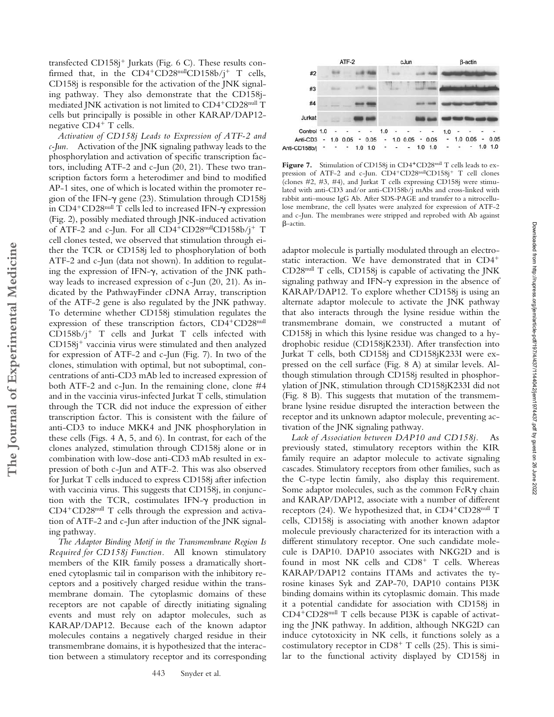transfected CD158j<sup>+</sup> Jurkats (Fig. 6 C). These results confirmed that, in the  $CD4+CD28$ <sup>null</sup>CD158b/j<sup>+</sup> T cells, CD158j is responsible for the activation of the JNK signaling pathway. They also demonstrate that the CD158jmediated JNK activation is not limited to CD4<sup>+</sup>CD28<sup>null</sup> T cells but principally is possible in other KARAP/DAP12 negative CD4<sup>+</sup> T cells.

*Activation of CD158j Leads to Expression of ATF-2 and c-Jun.* Activation of the JNK signaling pathway leads to the phosphorylation and activation of specific transcription factors, including ATF-2 and c-Jun (20, 21). These two transcription factors form a heterodimer and bind to modified AP-1 sites, one of which is located within the promoter region of the IFN- $\gamma$  gene (23). Stimulation through CD158j in  $CD4^+CD28^{\text{null}}$  T cells led to increased IFN- $\gamma$  expression (Fig. 2), possibly mediated through JNK-induced activation of ATF-2 and c-Jun. For all CD4<sup>+</sup>CD28<sup>null</sup>CD158b/j<sup>+</sup> T cell clones tested, we observed that stimulation through either the TCR or CD158j led to phosphorylation of both ATF-2 and c-Jun (data not shown). In addition to regulating the expression of IFN- $\gamma$ , activation of the JNK pathway leads to increased expression of c-Jun (20, 21). As indicated by the PathwayFinder cDNA Array, transcription of the ATF-2 gene is also regulated by the JNK pathway. To determine whether CD158j stimulation regulates the expression of these transcription factors, CD4+CD28<sup>null</sup>  $CD158b/j^{+}$  T cells and Jurkat T cells infected with CD158j<sup>+</sup> vaccinia virus were stimulated and then analyzed for expression of ATF-2 and c-Jun (Fig. 7). In two of the clones, stimulation with optimal, but not suboptimal, concentrations of anti-CD3 mAb led to increased expression of both ATF-2 and c-Jun. In the remaining clone, clone #4 and in the vaccinia virus-infected Jurkat T cells, stimulation through the TCR did not induce the expression of either transcription factor. This is consistent with the failure of anti-CD3 to induce MKK4 and JNK phosphorylation in these cells (Figs. 4 A, 5, and 6). In contrast, for each of the clones analyzed, stimulation through CD158j alone or in combination with low-dose anti-CD3 mAb resulted in expression of both c-Jun and ATF-2. This was also observed for Jurkat T cells induced to express CD158j after infection with vaccinia virus. This suggests that CD158*j*, in conjunction with the TCR, costimulates IFN- $\gamma$  production in CD4<sup>+</sup>CD28<sup>null</sup> T cells through the expression and activation of ATF-2 and c-Jun after induction of the JNK signaling pathway.

*The Adaptor Binding Motif in the Transmembrane Region Is Required for CD158j Function.* All known stimulatory members of the KIR family possess a dramatically shortened cytoplasmic tail in comparison with the inhibitory receptors and a positively charged residue within the transmembrane domain. The cytoplasmic domains of these receptors are not capable of directly initiating signaling events and must rely on adaptor molecules, such as KARAP/DAP12. Because each of the known adaptor molecules contains a negatively charged residue in their transmembrane domains, it is hypothesized that the interaction between a stimulatory receptor and its corresponding



Figure 7. Stimulation of CD158j in CD4<sup>+</sup>CD28<sup>null</sup> T cells leads to expression of ATF-2 and c-Jun. CD4<sup>+</sup>CD28<sup>null</sup>CD158j<sup>+</sup> T cell clones (clones  $\#2$ ,  $\#3$ ,  $\#4$ ), and Jurkat T cells expressing CD158j were stimulated with anti-CD3 and/or anti-CD158b/j mAbs and cross-linked with rabbit anti–mouse IgG Ab. After SDS-PAGE and transfer to a nitrocellulose membrane, the cell lysates were analyzed for expression of ATF-2 and c-Jun. The membranes were stripped and reprobed with Ab against β-actin.

adaptor molecule is partially modulated through an electrostatic interaction. We have demonstrated that in CD4<sup>+</sup> CD28null T cells, CD158j is capable of activating the JNK signaling pathway and IFN- $\gamma$  expression in the absence of KARAP/DAP12. To explore whether CD158j is using an alternate adaptor molecule to activate the JNK pathway that also interacts through the lysine residue within the transmembrane domain, we constructed a mutant of CD158j in which this lysine residue was changed to a hydrophobic residue (CD158jK233I). After transfection into Jurkat T cells, both CD158j and CD158jK233I were expressed on the cell surface (Fig. 8 A) at similar levels. Although stimulation through CD158j resulted in phosphorylation of JNK, stimulation through CD158jK233I did not (Fig. 8 B). This suggests that mutation of the transmembrane lysine residue disrupted the interaction between the receptor and its unknown adaptor molecule, preventing activation of the JNK signaling pathway.

*Lack of Association between DAP10 and CD158j.* As previously stated, stimulatory receptors within the KIR family require an adaptor molecule to activate signaling cascades. Stimulatory receptors from other families, such as the C-type lectin family, also display this requirement. Some adaptor molecules, such as the common  $FcRy$  chain and KARAP/DAP12, associate with a number of different receptors (24). We hypothesized that, in CD4<sup>+</sup>CD28<sup>null</sup> T cells, CD158j is associating with another known adaptor molecule previously characterized for its interaction with a different stimulatory receptor. One such candidate molecule is DAP10. DAP10 associates with NKG2D and is found in most NK cells and CD8<sup>+</sup> T cells. Whereas KARAP/DAP12 contains ITAMs and activates the tyrosine kinases Syk and ZAP-70, DAP10 contains PI3K binding domains within its cytoplasmic domain. This made it a potential candidate for association with CD158j in CD4+CD28null T cells because PI3K is capable of activating the JNK pathway. In addition, although NKG2D can induce cytotoxicity in NK cells, it functions solely as a costimulatory receptor in  $CD8<sup>+</sup>$  T cells (25). This is similar to the functional activity displayed by CD158j in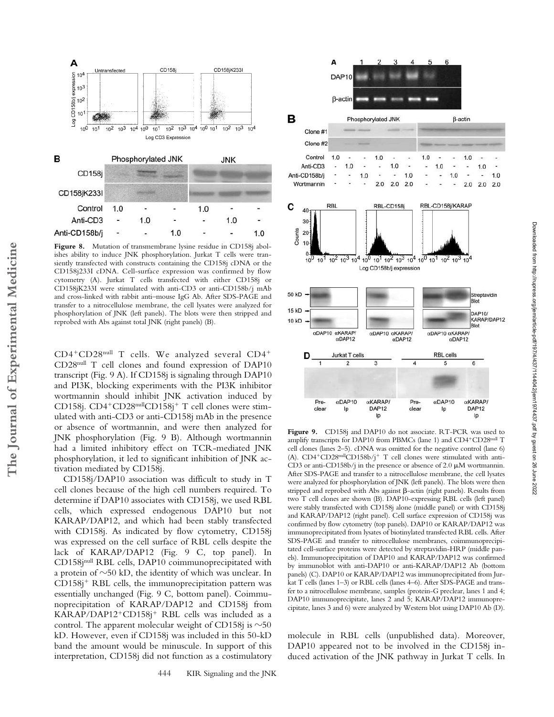

Figure 8. Mutation of transmembrane lysine residue in CD158j abolishes ability to induce JNK phosphorylation. Jurkat T cells were transiently transfected with constructs containing the CD158j cDNA or the CD158j233I cDNA. Cell-surface expression was confirmed by flow cytometry (A). Jurkat T cells transfected with either CD158j or CD158jK233I were stimulated with anti-CD3 or anti-CD158b/j mAb and cross-linked with rabbit anti–mouse IgG Ab. After SDS-PAGE and transfer to a nitrocellulose membrane, the cell lysates were analyzed for phosphorylation of JNK (left panels). The blots were then stripped and reprobed with Abs against total JNK (right panels) (B).

CD4-CD28null T cells. We analyzed several CD4- CD28null T cell clones and found expression of DAP10 transcript (Fig. 9 A). If CD158j is signaling through DAP10 and PI3K, blocking experiments with the PI3K inhibitor wortmannin should inhibit JNK activation induced by CD158j. CD4<sup>+</sup>CD28<sup>null</sup>CD158j<sup>+</sup> T cell clones were stimulated with anti-CD3 or anti-CD158j mAb in the presence or absence of wortmannin, and were then analyzed for JNK phosphorylation (Fig. 9 B). Although wortmannin had a limited inhibitory effect on TCR-mediated JNK phosphorylation, it led to significant inhibition of JNK activation mediated by CD158j.

CD158j/DAP10 association was difficult to study in T cell clones because of the high cell numbers required. To determine if DAP10 associates with CD158j, we used RBL cells, which expressed endogenous DAP10 but not KARAP/DAP12, and which had been stably transfected with CD158j. As indicated by flow cytometry, CD158j was expressed on the cell surface of RBL cells despite the lack of KARAP/DAP12 (Fig. 9 C, top panel). In CD158jnull RBL cells, DAP10 coimmunoprecipitated with a protein of  $\sim$ 50 kD, the identity of which was unclear. In CD158j<sup>+</sup> RBL cells, the immunoprecipitation pattern was essentially unchanged (Fig. 9 C, bottom panel). Coimmunoprecipitation of KARAP/DAP12 and CD158j from KARAP/DAP12<sup>+</sup>CD158j<sup>+</sup> RBL cells was included as a control. The apparent molecular weight of CD158j is  $\sim$ 50 kD. However, even if CD158j was included in this 50-kD band the amount would be minuscule. In support of this interpretation, CD158j did not function as a costimulatory



**Figure 9.** CD158j and DAP10 do not associate. RT-PCR was used to amplify transcripts for DAP10 from PBMCs (lane 1) and CD4<sup>+</sup>CD28<sup>null</sup> T cell clones (lanes 2–5). cDNA was omitted for the negative control (lane 6) (A).  $CD4+CD28$ <sup>null</sup>CD158b/j<sup>+</sup> T cell clones were stimulated with anti-CD3 or anti-CD158b/j in the presence or absence of 2.0  $\mu$ M wortmannin. After SDS-PAGE and transfer to a nitrocellulose membrane, the cell lysates were analyzed for phosphorylation of JNK (left panels). The blots were then stripped and reprobed with Abs against  $\beta$ -actin (right panels). Results from two T cell clones are shown (B). DAP10-expressing RBL cells (left panel) were stably transfected with CD158j alone (middle panel) or with CD158j and KARAP/DAP12 (right panel). Cell surface expression of CD158j was confirmed by flow cytometry (top panels). DAP10 or KARAP/DAP12 was immunoprecipitated from lysates of biotinylated transfected RBL cells. After SDS-PAGE and transfer to nitrocellulose membranes, coimmunoprecipitated cell-surface proteins were detected by streptavidin-HRP (middle panels). Immunoprecipitation of DAP10 and KARAP/DAP12 was confirmed by immunoblot with anti-DAP10 or anti-KARAP/DAP12 Ab (bottom panels) (C). DAP10 or KARAP/DAP12 was immunoprecipitated from Jurkat T cells (lanes 1–3) or RBL cells (lanes 4–6). After SDS-PAGE and transfer to a nitrocellulose membrane, samples (protein-G preclear, lanes 1 and 4; DAP10 immunoprecipitate, lanes 2 and 5; KARAP/DAP12 immunoprecipitate, lanes 3 and 6) were analyzed by Western blot using DAP10 Ab (D).

molecule in RBL cells (unpublished data). Moreover, DAP10 appeared not to be involved in the CD158j induced activation of the JNK pathway in Jurkat T cells. In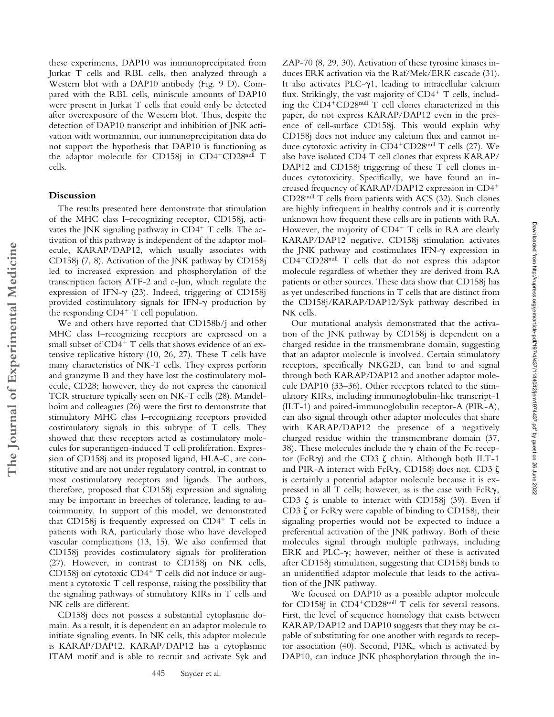these experiments, DAP10 was immunoprecipitated from Jurkat T cells and RBL cells, then analyzed through a Western blot with a DAP10 antibody (Fig. 9 D). Compared with the RBL cells, miniscule amounts of DAP10 were present in Jurkat T cells that could only be detected after overexposure of the Western blot. Thus, despite the detection of DAP10 transcript and inhibition of JNK activation with wortmannin, our immunoprecipitation data do not support the hypothesis that DAP10 is functioning as the adaptor molecule for CD158j in CD4-CD28null T cells.

## **Discussion**

**The Journal of Experimental Medicine**

The Journal of Experimental Medicine

The results presented here demonstrate that stimulation of the MHC class I–recognizing receptor, CD158j, activates the JNK signaling pathway in CD4<sup>+</sup> T cells. The activation of this pathway is independent of the adaptor molecule, KARAP/DAP12, which usually associates with CD158j (7, 8). Activation of the JNK pathway by CD158j led to increased expression and phosphorylation of the transcription factors ATF-2 and c-Jun, which regulate the expression of IFN- $\gamma$  (23). Indeed, triggering of CD158j provided costimulatory signals for IFN- $\gamma$  production by the responding CD4<sup>+</sup> T cell population.

We and others have reported that CD158b/j and other MHC class I–recognizing receptors are expressed on a small subset of CD4<sup>+</sup> T cells that shows evidence of an extensive replicative history (10, 26, 27). These T cells have many characteristics of NK-T cells. They express perforin and granzyme B and they have lost the costimulatory molecule, CD28; however, they do not express the canonical TCR structure typically seen on NK-T cells (28). Mandelboim and colleagues (26) were the first to demonstrate that stimulatory MHC class I–recognizing receptors provided costimulatory signals in this subtype of T cells. They showed that these receptors acted as costimulatory molecules for superantigen-induced T cell proliferation. Expression of CD158j and its proposed ligand, HLA-C, are constitutive and are not under regulatory control, in contrast to most costimulatory receptors and ligands. The authors, therefore, proposed that CD158j expression and signaling may be important in breeches of tolerance, leading to autoimmunity. In support of this model, we demonstrated that CD158j is frequently expressed on CD4<sup>+</sup> T cells in patients with RA, particularly those who have developed vascular complications (13, 15). We also confirmed that CD158j provides costimulatory signals for proliferation (27). However, in contrast to CD158j on NK cells, CD158j on cytotoxic CD4<sup>+</sup> T cells did not induce or augment a cytotoxic T cell response, raising the possibility that the signaling pathways of stimulatory KIRs in T cells and NK cells are different.

CD158j does not possess a substantial cytoplasmic domain. As a result, it is dependent on an adaptor molecule to initiate signaling events. In NK cells, this adaptor molecule is KARAP/DAP12. KARAP/DAP12 has a cytoplasmic ITAM motif and is able to recruit and activate Syk and

ZAP-70 (8, 29, 30). Activation of these tyrosine kinases induces ERK activation via the Raf/Mek/ERK cascade (31). It also activates PLC- $\gamma$ 1, leading to intracellular calcium flux. Strikingly, the vast majority of CD4<sup>+</sup> T cells, including the CD4-CD28null T cell clones characterized in this paper, do not express KARAP/DAP12 even in the presence of cell-surface CD158j. This would explain why CD158j does not induce any calcium flux and cannot induce cytotoxic activity in CD4-CD28null T cells (27). We also have isolated CD4 T cell clones that express KARAP/ DAP12 and CD158j triggering of these T cell clones induces cytotoxicity. Specifically, we have found an increased frequency of KARAP/DAP12 expression in CD4- CD28null T cells from patients with ACS (32). Such clones are highly infrequent in healthy controls and it is currently unknown how frequent these cells are in patients with RA. However, the majority of CD4<sup>+</sup> T cells in RA are clearly KARAP/DAP12 negative. CD158j stimulation activates the JNK pathway and costimulates IFN- $\gamma$  expression in CD4-CD28null T cells that do not express this adaptor molecule regardless of whether they are derived from RA patients or other sources. These data show that CD158j has as yet undescribed functions in T cells that are distinct from the CD158j/KARAP/DAP12/Syk pathway described in NK cells.

Our mutational analysis demonstrated that the activation of the JNK pathway by CD158j is dependent on a charged residue in the transmembrane domain, suggesting that an adaptor molecule is involved. Certain stimulatory receptors, specifically NKG2D, can bind to and signal through both KARAP/DAP12 and another adaptor molecule DAP10 (33–36). Other receptors related to the stimulatory KIRs, including immunoglobulin-like transcript-1 (ILT-1) and paired-immunoglobulin receptor-A (PIR-A), can also signal through other adaptor molecules that share with KARAP/DAP12 the presence of a negatively charged residue within the transmembrane domain (37, 38). These molecules include the  $\gamma$  chain of the Fc receptor (FcR $\gamma$ ) and the CD3  $\zeta$  chain. Although both ILT-1 and PIR-A interact with FcR $\gamma$ , CD158j does not. CD3  $\zeta$ is certainly a potential adaptor molecule because it is expressed in all  $T$  cells; however, as is the case with  $FcR\gamma$ , CD3  $\zeta$  is unable to interact with CD158j (39). Even if CD3  $\zeta$  or FcR $\gamma$  were capable of binding to CD158j, their signaling properties would not be expected to induce a preferential activation of the JNK pathway. Both of these molecules signal through multiple pathways, including ERK and PLC- $\gamma$ ; however, neither of these is activated after CD158j stimulation, suggesting that CD158j binds to an unidentified adaptor molecule that leads to the activation of the JNK pathway.

We focused on DAP10 as a possible adaptor molecule for CD158j in CD4<sup>+</sup>CD28<sup>null</sup> T cells for several reasons. First, the level of sequence homology that exists between KARAP/DAP12 and DAP10 suggests that they may be capable of substituting for one another with regards to receptor association (40). Second, PI3K, which is activated by DAP10, can induce JNK phosphorylation through the in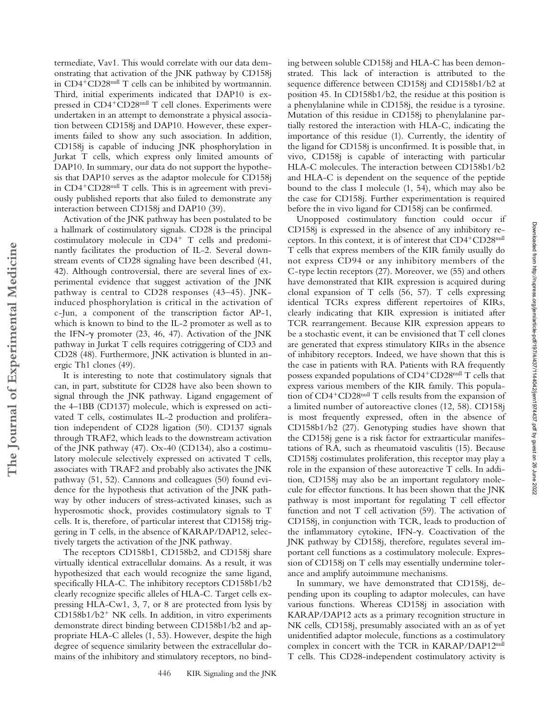termediate, Vav1. This would correlate with our data demonstrating that activation of the JNK pathway by CD158j in CD4-CD28null T cells can be inhibited by wortmannin. Third, initial experiments indicated that DAP10 is expressed in CD4<sup>+</sup>CD28<sup>null</sup> T cell clones. Experiments were undertaken in an attempt to demonstrate a physical association between CD158j and DAP10. However, these experiments failed to show any such association. In addition, CD158j is capable of inducing JNK phosphorylation in Jurkat T cells, which express only limited amounts of DAP10. In summary, our data do not support the hypothesis that DAP10 serves as the adaptor molecule for CD158j in CD4-CD28null T cells. This is in agreement with previously published reports that also failed to demonstrate any interaction between CD158j and DAP10 (39).

Activation of the JNK pathway has been postulated to be a hallmark of costimulatory signals. CD28 is the principal  $costimulatory molecule in CD4<sup>+</sup> T cells and predomi$ nantly facilitates the production of IL-2. Several downstream events of CD28 signaling have been described (41, 42). Although controversial, there are several lines of experimental evidence that suggest activation of the JNK pathway is central to CD28 responses (43–45). JNKinduced phosphorylation is critical in the activation of c-Jun, a component of the transcription factor AP-1, which is known to bind to the IL-2 promoter as well as to the IFN- $\gamma$  promoter (23, 46, 47). Activation of the JNK pathway in Jurkat T cells requires cotriggering of CD3 and CD28 (48). Furthermore, JNK activation is blunted in anergic Th1 clones (49).

It is interesting to note that costimulatory signals that can, in part, substitute for CD28 have also been shown to signal through the JNK pathway. Ligand engagement of the 4–1BB (CD137) molecule, which is expressed on activated T cells, costimulates IL-2 production and proliferation independent of CD28 ligation (50). CD137 signals through TRAF2, which leads to the downstream activation of the JNK pathway (47). Ox-40 (CD134), also a costimulatory molecule selectively expressed on activated T cells, associates with TRAF2 and probably also activates the JNK pathway (51, 52). Cannons and colleagues (50) found evidence for the hypothesis that activation of the JNK pathway by other inducers of stress-activated kinases, such as hyperosmotic shock, provides costimulatory signals to T cells. It is, therefore, of particular interest that CD158j triggering in T cells, in the absence of KARAP/DAP12, selectively targets the activation of the JNK pathway.

The receptors CD158b1, CD158b2, and CD158j share virtually identical extracellular domains. As a result, it was hypothesized that each would recognize the same ligand, specifically HLA-C. The inhibitory receptors CD158b1/b2 clearly recognize specific alleles of HLA-C. Target cells expressing HLA-Cw1, 3, 7, or 8 are protected from lysis by CD158b1/b2<sup>+</sup> NK cells. In addition, in vitro experiments demonstrate direct binding between CD158b1/b2 and appropriate HLA-C alleles (1, 53). However, despite the high degree of sequence similarity between the extracellular domains of the inhibitory and stimulatory receptors, no bind-

ing between soluble CD158j and HLA-C has been demonstrated. This lack of interaction is attributed to the sequence difference between CD158j and CD158b1/b2 at position 45. In CD158b1/b2, the residue at this position is a phenylalanine while in CD158j, the residue is a tyrosine. Mutation of this residue in CD158j to phenylalanine partially restored the interaction with HLA-C, indicating the importance of this residue (1). Currently, the identity of the ligand for CD158j is unconfirmed. It is possible that, in vivo, CD158j is capable of interacting with particular HLA-C molecules. The interaction between CD158b1/b2 and HLA-C is dependent on the sequence of the peptide bound to the class I molecule (1, 54), which may also be the case for CD158j. Further experimentation is required before the in vivo ligand for CD158j can be confirmed.

Unopposed costimulatory function could occur if CD158j is expressed in the absence of any inhibitory receptors. In this context, it is of interest that CD4<sup>+</sup>CD28<sup>null</sup> T cells that express members of the KIR family usually do not express CD94 or any inhibitory members of the C-type lectin receptors (27). Moreover, we (55) and others have demonstrated that KIR expression is acquired during clonal expansion of T cells (56, 57). T cells expressing identical TCRs express different repertoires of KIRs, clearly indicating that KIR expression is initiated after TCR rearrangement. Because KIR expression appears to be a stochastic event, it can be envisioned that T cell clones are generated that express stimulatory KIRs in the absence of inhibitory receptors. Indeed, we have shown that this is the case in patients with RA. Patients with RA frequently possess expanded populations of CD4-CD28null T cells that express various members of the KIR family. This population of CD4<sup>+</sup>CD28<sup>null</sup> T cells results from the expansion of a limited number of autoreactive clones (12, 58). CD158j is most frequently expressed, often in the absence of CD158b1/b2 (27). Genotyping studies have shown that the CD158j gene is a risk factor for extraarticular manifestations of RA, such as rheumatoid vasculitis (15). Because CD158j costimulates proliferation, this receptor may play a role in the expansion of these autoreactive T cells. In addition, CD158j may also be an important regulatory molecule for effector functions. It has been shown that the JNK pathway is most important for regulating T cell effector function and not T cell activation (59). The activation of CD158j, in conjunction with TCR, leads to production of the inflammatory cytokine, IFN- $\gamma$ . Coactivation of the JNK pathway by CD158j, therefore, regulates several important cell functions as a costimulatory molecule. Expression of CD158j on T cells may essentially undermine tolerance and amplify autoimmune mechanisms.

In summary, we have demonstrated that CD158j, depending upon its coupling to adaptor molecules, can have various functions. Whereas CD158j in association with KARAP/DAP12 acts as a primary recognition structure in NK cells, CD158j, presumably associated with an as of yet unidentified adaptor molecule, functions as a costimulatory complex in concert with the TCR in KARAP/DAP12<sup>null</sup> T cells. This CD28-independent costimulatory activity is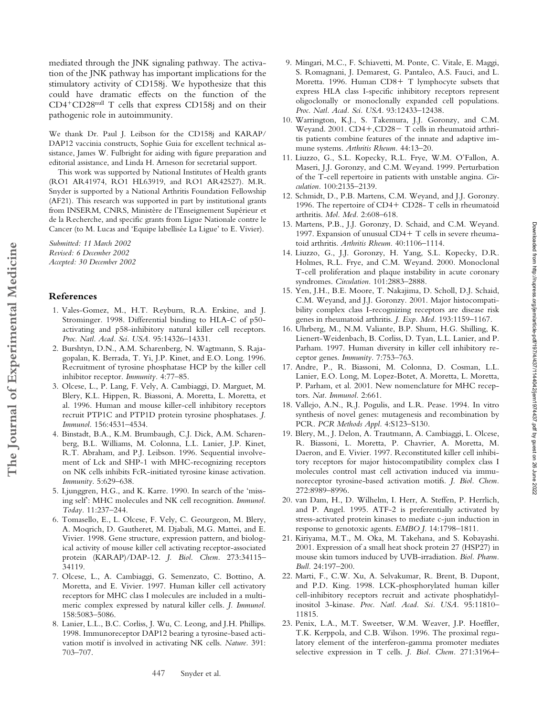mediated through the JNK signaling pathway. The activation of the JNK pathway has important implications for the stimulatory activity of CD158j. We hypothesize that this could have dramatic effects on the function of the CD4-CD28null T cells that express CD158j and on their pathogenic role in autoimmunity.

We thank Dr. Paul J. Leibson for the CD158j and KARAP/ DAP12 vaccinia constructs, Sophie Guia for excellent technical assistance, James W. Fulbright for aiding with figure preparation and editorial assistance, and Linda H. Arneson for secretarial support.

This work was supported by National Institutes of Health grants (RO1 AR41974, RO1 HL63919, and RO1 AR42527). M.R. Snyder is supported by a National Arthritis Foundation Fellowship (AF21). This research was supported in part by institutional grants from INSERM, CNRS, Ministère de l'Enseignement Supérieur et de la Recherche, and specific grants from Ligue Nationale contre le Cancer (to M. Lucas and 'Equipe labellisée La Ligue' to E. Vivier).

*Submitted: 11 March 2002 Revised: 6 December 2002 Accepted: 30 December 2002*

### **References**

**The Journal of Experimental Medicine**

The Journal of Experimental Medicine

- 1. Vales-Gomez, M., H.T. Reyburn, R.A. Erskine, and J. Strominger. 1998. Differential binding to HLA-C of p50 activating and p58-inhibitory natural killer cell receptors. *Proc. Natl. Acad. Sci. USA.* 95:14326–14331.
- 2. Burshtyn, D.N., A.M. Scharenberg, N. Wagtmann, S. Rajagopalan, K. Berrada, T. Yi, J.P. Kinet, and E.O. Long. 1996. Recruitment of tyrosine phosphatase HCP by the killer cell inhibitor receptor. *Immunity.* 4:77–85.
- 3. Olcese, L., P. Lang, F. Vely, A. Cambiaggi, D. Marguet, M. Blery, K.L. Hippen, R. Biassoni, A. Moretta, L. Moretta, et al. 1996. Human and mouse killer-cell inhibitory receptors recruit PTP1C and PTP1D protein tyrosine phosphatases. *J. Immunol.* 156:4531–4534.
- 4. Binstadt, B.A., K.M. Brumbaugh, C.J. Dick, A.M. Scharenberg, B.L. Williams, M. Colonna, L.L. Lanier, J.P. Kinet, R.T. Abraham, and P.J. Leibson. 1996. Sequential involvement of Lck and SHP-1 with MHC-recognizing receptors on NK cells inhibits FcR-initiated tyrosine kinase activation. *Immunity.* 5:629–638.
- 5. Ljunggren, H.G., and K. Karre. 1990. In search of the 'missing self': MHC molecules and NK cell recognition. *Immunol. Today.* 11:237–244.
- 6. Tomasello, E., L. Olcese, F. Vely, C. Geourgeon, M. Blery, A. Moqrich, D. Gautheret, M. Djabali, M.G. Mattei, and E. Vivier. 1998. Gene structure, expression pattern, and biological activity of mouse killer cell activating receptor-associated protein (KARAP)/DAP-12. *J. Biol. Chem.* 273:34115– 34119.
- 7. Olcese, L., A. Cambiaggi, G. Semenzato, C. Bottino, A. Moretta, and E. Vivier. 1997. Human killer cell activatory receptors for MHC class I molecules are included in a multimeric complex expressed by natural killer cells. *J. Immunol.* 158:5083–5086.
- 8. Lanier, L.L., B.C. Corliss, J. Wu, C. Leong, and J.H. Phillips. 1998. Immunoreceptor DAP12 bearing a tyrosine-based activation motif is involved in activating NK cells. *Nature.* 391: 703–707.
- 9. Mingari, M.C., F. Schiavetti, M. Ponte, C. Vitale, E. Maggi, S. Romagnani, J. Demarest, G. Pantaleo, A.S. Fauci, and L. Moretta. 1996. Human CD8+ T lymphocyte subsets that express HLA class I-specific inhibitory receptors represent oligoclonally or monoclonally expanded cell populations. *Proc. Natl. Acad. Sci. USA.* 93:12433–12438.
- 10. Warrington, K.J., S. Takemura, J.J. Goronzy, and C.M. Weyand. 2001. CD4+,CD28- T cells in rheumatoid arthritis patients combine features of the innate and adaptive immune systems. *Arthritis Rheum.* 44:13–20.
- 11. Liuzzo, G., S.L. Kopecky, R.L. Frye, W.M. O'Fallon, A. Maseri, J.J. Goronzy, and C.M. Weyand. 1999. Perturbation of the T-cell repertoire in patients with unstable angina. *Circulation.* 100:2135–2139.
- 12. Schmidt, D., P.B. Martens, C.M. Weyand, and J.J. Goronzy. 1996. The repertoire of CD4+ CD28- T cells in rheumatoid arthritis. *Mol. Med.* 2:608–618.
- 13. Martens, P.B., J.J. Goronzy, D. Schaid, and C.M. Weyand. 1997. Expansion of unusual CD4+ T cells in severe rheumatoid arthritis. *Arthritis Rheum.* 40:1106–1114.
- 14. Liuzzo, G., J.J. Goronzy, H. Yang, S.L. Kopecky, D.R. Holmes, R.L. Frye, and C.M. Weyand. 2000. Monoclonal T-cell proliferation and plaque instability in acute coronary syndromes. *Circulation.* 101:2883–2888.
- 15. Yen, J.H., B.E. Moore, T. Nakajima, D. Scholl, D.J. Schaid, C.M. Weyand, and J.J. Goronzy. 2001. Major histocompatibility complex class I-recognizing receptors are disease risk genes in rheumatoid arthritis. *J. Exp. Med.* 193:1159–1167.
- 16. Uhrberg, M., N.M. Valiante, B.P. Shum, H.G. Shilling, K. Lienert-Weidenbach, B. Corliss, D. Tyan, L.L. Lanier, and P. Parham. 1997. Human diversity in killer cell inhibitory receptor genes. *Immunity.* 7:753–763.
- 17. Andre, P., R. Biassoni, M. Colonna, D. Cosman, L.L. Lanier, E.O. Long, M. Lopez-Botet, A. Moretta, L. Moretta, P. Parham, et al. 2001. New nomenclature for MHC receptors. *Nat. Immunol.* 2:661.
- 18. Vallejo, A.N., R.J. Pogulis, and L.R. Pease. 1994. In vitro synthesis of novel genes: mutagenesis and recombination by PCR. *PCR Methods Appl.* 4:S123–S130.
- 19. Blery, M., J. Delon, A. Trautmann, A. Cambiaggi, L. Olcese, R. Biassoni, L. Moretta, P. Chavrier, A. Moretta, M. Daeron, and E. Vivier. 1997. Reconstituted killer cell inhibitory receptors for major histocompatibility complex class I molecules control mast cell activation induced via immunoreceptor tyrosine-based activation motifs. *J. Biol. Chem.* 272:8989–8996.
- 20. van Dam, H., D. Wilhelm, I. Herr, A. Steffen, P. Herrlich, and P. Angel. 1995. ATF-2 is preferentially activated by stress-activated protein kinases to mediate c-jun induction in response to genotoxic agents. *EMBO J.* 14:1798–1811.
- 21. Kiriyama, M.T., M. Oka, M. Takehana, and S. Kobayashi. 2001. Expression of a small heat shock protein 27 (HSP27) in mouse skin tumors induced by UVB-irradiation. *Biol. Pharm. Bull.* 24:197–200.
- 22. Marti, F., C.W. Xu, A. Selvakumar, R. Brent, B. Dupont, and P.D. King. 1998. LCK-phosphorylated human killer cell-inhibitory receptors recruit and activate phosphatidylinositol 3-kinase. *Proc. Natl. Acad. Sci. USA.* 95:11810– 11815.
- 23. Penix, L.A., M.T. Sweetser, W.M. Weaver, J.P. Hoeffler, T.K. Kerppola, and C.B. Wilson. 1996. The proximal regulatory element of the interferon-gamma promoter mediates selective expression in T cells. *J. Biol. Chem.* 271:31964–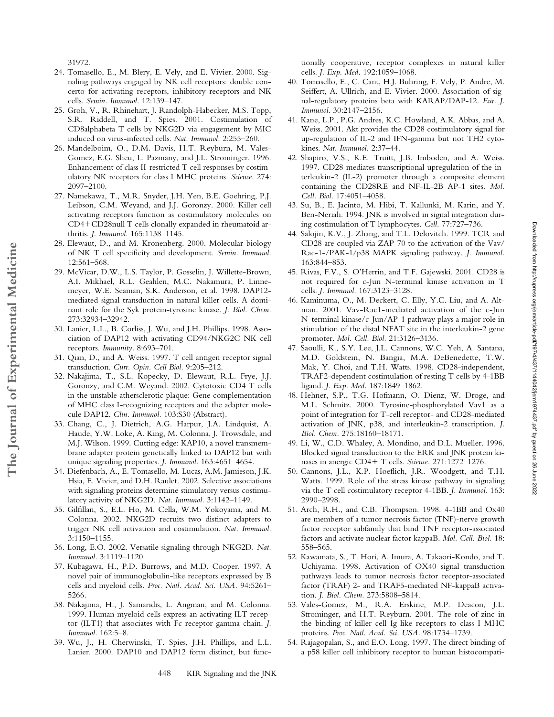31972.

- 24. Tomasello, E., M. Blery, E. Vely, and E. Vivier. 2000. Signaling pathways engaged by NK cell receptors: double concerto for activating receptors, inhibitory receptors and NK cells. *Semin. Immunol.* 12:139–147.
- 25. Groh, V., R. Rhinehart, J. Randolph-Habecker, M.S. Topp, S.R. Riddell, and T. Spies. 2001. Costimulation of CD8alphabeta T cells by NKG2D via engagement by MIC induced on virus-infected cells. *Nat. Immunol.* 2:255–260.
- 26. Mandelboim, O., D.M. Davis, H.T. Reyburn, M. Vales-Gomez, E.G. Sheu, L. Pazmany, and J.L. Strominger. 1996. Enhancement of class II-restricted T cell responses by costimulatory NK receptors for class I MHC proteins. *Science.* 274: 2097–2100.
- 27. Namekawa, T., M.R. Snyder, J.H. Yen, B.E. Goehring, P.J. Leibson, C.M. Weyand, and J.J. Goronzy. 2000. Killer cell activating receptors function as costimulatory molecules on CD4-CD28null T cells clonally expanded in rheumatoid arthritis. *J. Immunol.* 165:1138–1145.
- 28. Elewaut, D., and M. Kronenberg. 2000. Molecular biology of NK T cell specificity and development. *Semin. Immunol.* 12:561–568.
- 29. McVicar, D.W., L.S. Taylor, P. Gosselin, J. Willette-Brown, A.I. Mikhael, R.L. Geahlen, M.C. Nakamura, P. Linnemeyer, W.E. Seaman, S.K. Anderson, et al. 1998. DAP12 mediated signal transduction in natural killer cells. A dominant role for the Syk protein-tyrosine kinase. *J. Biol. Chem.* 273:32934–32942.
- 30. Lanier, L.L., B. Corliss, J. Wu, and J.H. Phillips. 1998. Association of DAP12 with activating CD94/NKG2C NK cell receptors. *Immunity.* 8:693–701.
- 31. Qian, D., and A. Weiss. 1997. T cell antigen receptor signal transduction. *Curr. Opin. Cell Biol.* 9:205–212.
- 32. Nakajima, T., S.L. Kopecky, D. Elewaut, R.L. Frye, J.J. Goronzy, and C.M. Weyand. 2002. Cytotoxic CD4 T cells in the unstable athersclerotic plaque: Gene complementation of MHC class I-recognizing receptors and the adapter molecule DAP12. *Clin. Immunol.* 103:S30 (Abstract).
- 33. Chang, C., J. Dietrich, A.G. Harpur, J.A. Lindquist, A. Haude, Y.W. Loke, A. King, M. Colonna, J. Trowsdale, and M.J. Wilson. 1999. Cutting edge: KAP10, a novel transmembrane adapter protein genetically linked to DAP12 but with unique signaling properties. *J. Immunol.* 163:4651–4654.
- 34. Diefenbach, A., E. Tomasello, M. Lucas, A.M. Jamieson, J.K. Hsia, E. Vivier, and D.H. Raulet. 2002. Selective associations with signaling proteins determine stimulatory versus costimulatory activity of NKG2D. *Nat. Immunol.* 3:1142–1149.
- 35. Gilfillan, S., E.L. Ho, M. Cella, W.M. Yokoyama, and M. Colonna. 2002. NKG2D recruits two distinct adapters to trigger NK cell activation and costimulation. *Nat. Immunol.* 3:1150–1155.
- 36. Long, E.O. 2002. Versatile signaling through NKG2D. *Nat. Immunol.* 3:1119–1120.
- 37. Kubagawa, H., P.D. Burrows, and M.D. Cooper. 1997. A novel pair of immunoglobulin-like receptors expressed by B cells and myeloid cells. *Proc. Natl. Acad. Sci. USA.* 94:5261– 5266.
- 38. Nakajima, H., J. Samaridis, L. Angman, and M. Colonna. 1999. Human myeloid cells express an activating ILT receptor (ILT1) that associates with Fc receptor gamma-chain. *J. Immunol.* 162:5–8.
- 39. Wu, J., H. Cherwinski, T. Spies, J.H. Phillips, and L.L. Lanier. 2000. DAP10 and DAP12 form distinct, but func-

tionally cooperative, receptor complexes in natural killer cells. *J. Exp. Med.* 192:1059–1068.

- 40. Tomasello, E., C. Cant, H.J. Buhring, F. Vely, P. Andre, M. Seiffert, A. Ullrich, and E. Vivier. 2000. Association of signal-regulatory proteins beta with KARAP/DAP-12. *Eur. J. Immunol.* 30:2147–2156.
- 41. Kane, L.P., P.G. Andres, K.C. Howland, A.K. Abbas, and A. Weiss. 2001. Akt provides the CD28 costimulatory signal for up-regulation of IL-2 and IFN-gamma but not TH2 cytokines. *Nat. Immunol.* 2:37–44.
- 42. Shapiro, V.S., K.E. Truitt, J.B. Imboden, and A. Weiss. 1997. CD28 mediates transcriptional upregulation of the interleukin-2 (IL-2) promoter through a composite element containing the CD28RE and NF-IL-2B AP-1 sites. *Mol. Cell. Biol.* 17:4051–4058.
- 43. Su, B., E. Jacinto, M. Hibi, T. Kallunki, M. Karin, and Y. Ben-Neriah. 1994. JNK is involved in signal integration during costimulation of T lymphocytes. *Cell.* 77:727–736.
- 44. Salojin, K.V., J. Zhang, and T.L. Delovitch. 1999. TCR and CD28 are coupled via ZAP-70 to the activation of the Vav/ Rac-1-/PAK-1/p38 MAPK signaling pathway. *J. Immunol.* 163:844–853.
- 45. Rivas, F.V., S. O'Herrin, and T.F. Gajewski. 2001. CD28 is not required for c-Jun N-terminal kinase activation in T cells. *J. Immunol.* 167:3123–3128.
- 46. Kaminuma, O., M. Deckert, C. Elly, Y.C. Liu, and A. Altman. 2001. Vav-Rac1-mediated activation of the c-Jun N-terminal kinase/c-Jun/AP-1 pathway plays a major role in stimulation of the distal NFAT site in the interleukin-2 gene promoter. *Mol. Cell. Biol.* 21:3126–3136.
- 47. Saoulli, K., S.Y. Lee, J.L. Cannons, W.C. Yeh, A. Santana, M.D. Goldstein, N. Bangia, M.A. DeBenedette, T.W. Mak, Y. Choi, and T.H. Watts. 1998. CD28-independent, TRAF2-dependent costimulation of resting T cells by 4-1BB ligand. *J. Exp. Med.* 187:1849–1862.
- 48. Hehner, S.P., T.G. Hofmann, O. Dienz, W. Droge, and M.L. Schmitz. 2000. Tyrosine-phosphorylated Vav1 as a point of integration for T-cell receptor- and CD28-mediated activation of JNK, p38, and interleukin-2 transcription. *J. Biol. Chem.* 275:18160–18171.
- 49. Li, W., C.D. Whaley, A. Mondino, and D.L. Mueller. 1996. Blocked signal transduction to the ERK and JNK protein kinases in anergic CD4- T cells. *Science.* 271:1272–1276.
- 50. Cannons, J.L., K.P. Hoeflich, J.R. Woodgett, and T.H. Watts. 1999. Role of the stress kinase pathway in signaling via the T cell costimulatory receptor 4-1BB. *J. Immunol.* 163: 2990–2998.
- 51. Arch, R.H., and C.B. Thompson. 1998. 4-1BB and Ox40 are members of a tumor necrosis factor (TNF)-nerve growth factor receptor subfamily that bind TNF receptor-associated factors and activate nuclear factor kappaB. *Mol. Cell. Biol.* 18: 558–565.
- 52. Kawamata, S., T. Hori, A. Imura, A. Takaori-Kondo, and T. Uchiyama. 1998. Activation of OX40 signal transduction pathways leads to tumor necrosis factor receptor-associated factor (TRAF) 2- and TRAF5-mediated NF-kappaB activation. *J. Biol. Chem.* 273:5808–5814.
- 53. Vales-Gomez, M., R.A. Erskine, M.P. Deacon, J.L. Strominger, and H.T. Reyburn. 2001. The role of zinc in the binding of killer cell Ig-like receptors to class I MHC proteins. *Proc. Natl. Acad. Sci. USA.* 98:1734–1739.
- 54. Rajagopalan, S., and E.O. Long. 1997. The direct binding of a p58 killer cell inhibitory receptor to human histocompati-